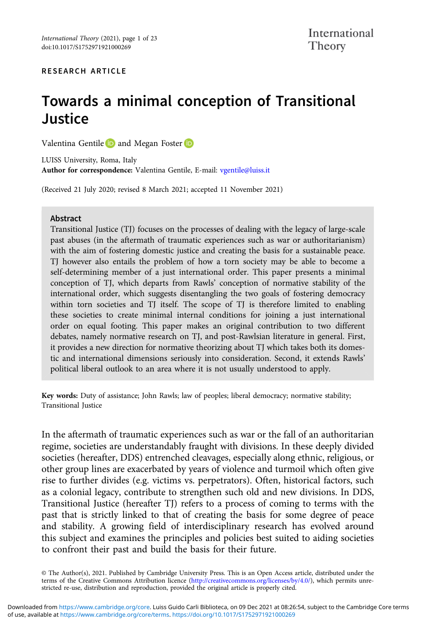#### RESEARCH ARTICLE

# Towards a minimal conception of Transitional **Justice**

Valentina Gentile **D** and Megan Foster **D** 

LUISS University, Roma, Italy Author for correspondence: Valentina Gentile, E-mail: [vgentile@luiss.it](mailto:vgentile@luiss.it)

(Received 21 July 2020; revised 8 March 2021; accepted 11 November 2021)

#### Abstract

Transitional Justice (TJ) focuses on the processes of dealing with the legacy of large-scale past abuses (in the aftermath of traumatic experiences such as war or authoritarianism) with the aim of fostering domestic justice and creating the basis for a sustainable peace. TJ however also entails the problem of how a torn society may be able to become a self-determining member of a just international order. This paper presents a minimal conception of TJ, which departs from Rawls' conception of normative stability of the international order, which suggests disentangling the two goals of fostering democracy within torn societies and TJ itself. The scope of TJ is therefore limited to enabling these societies to create minimal internal conditions for joining a just international order on equal footing. This paper makes an original contribution to two different debates, namely normative research on TJ, and post-Rawlsian literature in general. First, it provides a new direction for normative theorizing about TJ which takes both its domestic and international dimensions seriously into consideration. Second, it extends Rawls' political liberal outlook to an area where it is not usually understood to apply.

Key words: Duty of assistance; John Rawls; law of peoples; liberal democracy; normative stability; Transitional Justice

In the aftermath of traumatic experiences such as war or the fall of an authoritarian regime, societies are understandably fraught with divisions. In these deeply divided societies (hereafter, DDS) entrenched cleavages, especially along ethnic, religious, or other group lines are exacerbated by years of violence and turmoil which often give rise to further divides (e.g. victims vs. perpetrators). Often, historical factors, such as a colonial legacy, contribute to strengthen such old and new divisions. In DDS, Transitional Justice (hereafter TJ) refers to a process of coming to terms with the past that is strictly linked to that of creating the basis for some degree of peace and stability. A growing field of interdisciplinary research has evolved around this subject and examines the principles and policies best suited to aiding societies to confront their past and build the basis for their future.

© The Author(s), 2021. Published by Cambridge University Press. This is an Open Access article, distributed under the terms of the Creative Commons Attribution licence ([http://creativecommons.org/licenses/by/4.0/\)](http://creativecommons.org/licenses/by/4.0/), which permits unrestricted re-use, distribution and reproduction, provided the original article is properly cited.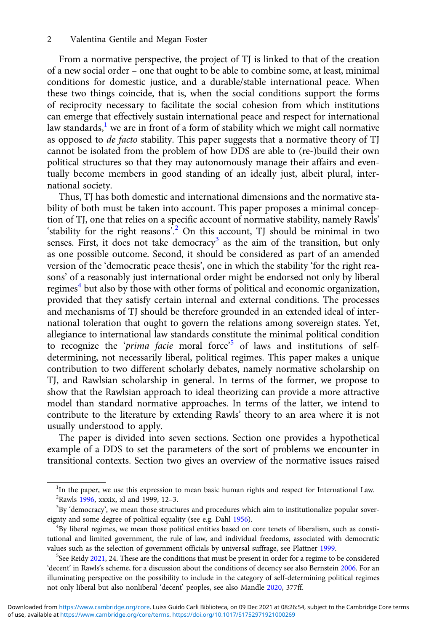From a normative perspective, the project of TJ is linked to that of the creation of a new social order – one that ought to be able to combine some, at least, minimal conditions for domestic justice, and a durable/stable international peace. When these two things coincide, that is, when the social conditions support the forms of reciprocity necessary to facilitate the social cohesion from which institutions can emerge that effectively sustain international peace and respect for international law standards, $<sup>1</sup>$  we are in front of a form of stability which we might call normative</sup> as opposed to de facto stability. This paper suggests that a normative theory of TJ cannot be isolated from the problem of how DDS are able to (re-)build their own political structures so that they may autonomously manage their affairs and eventually become members in good standing of an ideally just, albeit plural, international society.

Thus, TJ has both domestic and international dimensions and the normative stability of both must be taken into account. This paper proposes a minimal conception of TJ, one that relies on a specific account of normative stability, namely Rawls' 'stability for the right reasons<sup>'?</sup> On this account, TJ should be minimal in two senses. First, it does not take democracy<sup>3</sup> as the aim of the transition, but only as one possible outcome. Second, it should be considered as part of an amended version of the 'democratic peace thesis', one in which the stability 'for the right reasons' of a reasonably just international order might be endorsed not only by liberal regimes<sup>4</sup> but also by those with other forms of political and economic organization, provided that they satisfy certain internal and external conditions. The processes and mechanisms of TJ should be therefore grounded in an extended ideal of international toleration that ought to govern the relations among sovereign states. Yet, allegiance to international law standards constitute the minimal political condition to recognize the 'prima facie moral force'<sup>5</sup> of laws and institutions of selfdetermining, not necessarily liberal, political regimes. This paper makes a unique contribution to two different scholarly debates, namely normative scholarship on TJ, and Rawlsian scholarship in general. In terms of the former, we propose to show that the Rawlsian approach to ideal theorizing can provide a more attractive model than standard normative approaches. In terms of the latter, we intend to contribute to the literature by extending Rawls' theory to an area where it is not usually understood to apply.

The paper is divided into seven sections. Section one provides a hypothetical example of a DDS to set the parameters of the sort of problems we encounter in transitional contexts. Section two gives an overview of the normative issues raised

<sup>&</sup>lt;sup>1</sup>In the paper, we use this expression to mean basic human rights and respect for International Law. <sup>2</sup>Rawls [1996,](#page-21-0) xxxix, xl and 1999, 12-3.<br><sup>3</sup>By idemocracy, we mean those structs

 ${}^{3}$ By 'democracy', we mean those structures and procedures which aim to institutionalize popular sovereignty and some degree of political equality (see e.g. Dahl [1956\)](#page-20-0). <sup>4</sup>

<sup>&</sup>lt;sup>4</sup>By liberal regimes, we mean those political entities based on core tenets of liberalism, such as constitutional and limited government, the rule of law, and individual freedoms, associated with democratic values such as the selection of government officials by universal suffrage, see Plattner [1999.](#page-21-0)

 $5$ See Reidy [2021,](#page-21-0) 24. These are the conditions that must be present in order for a regime to be considered 'decent' in Rawls's scheme, for a discussion about the conditions of decency see also Bernstein [2006.](#page-20-0) For an illuminating perspective on the possibility to include in the category of self-determining political regimes not only liberal but also nonliberal 'decent' peoples, see also Mandle [2020](#page-21-0), 377ff.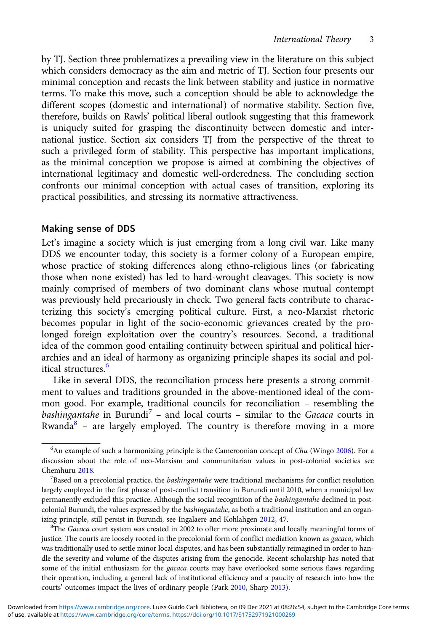by TJ. Section three problematizes a prevailing view in the literature on this subject which considers democracy as the aim and metric of TJ. Section four presents our minimal conception and recasts the link between stability and justice in normative terms. To make this move, such a conception should be able to acknowledge the different scopes (domestic and international) of normative stability. Section five, therefore, builds on Rawls' political liberal outlook suggesting that this framework is uniquely suited for grasping the discontinuity between domestic and international justice. Section six considers TJ from the perspective of the threat to such a privileged form of stability. This perspective has important implications, as the minimal conception we propose is aimed at combining the objectives of international legitimacy and domestic well-orderedness. The concluding section confronts our minimal conception with actual cases of transition, exploring its practical possibilities, and stressing its normative attractiveness.

#### Making sense of DDS

Let's imagine a society which is just emerging from a long civil war. Like many DDS we encounter today, this society is a former colony of a European empire, whose practice of stoking differences along ethno-religious lines (or fabricating those when none existed) has led to hard-wrought cleavages. This society is now mainly comprised of members of two dominant clans whose mutual contempt was previously held precariously in check. Two general facts contribute to characterizing this society's emerging political culture. First, a neo-Marxist rhetoric becomes popular in light of the socio-economic grievances created by the prolonged foreign exploitation over the country's resources. Second, a traditional idea of the common good entailing continuity between spiritual and political hierarchies and an ideal of harmony as organizing principle shapes its social and political structures<sup>6</sup>

Like in several DDS, the reconciliation process here presents a strong commitment to values and traditions grounded in the above-mentioned ideal of the common good. For example, traditional councils for reconciliation – resembling the bashingantahe in Burundi<sup>7</sup> – and local courts – similar to the Gacaca courts in Rwanda $8$  – are largely employed. The country is therefore moving in a more

<sup>8</sup>The Gacaca court system was created in 2002 to offer more proximate and locally meaningful forms of justice. The courts are loosely rooted in the precolonial form of conflict mediation known as gacaca, which was traditionally used to settle minor local disputes, and has been substantially reimagined in order to handle the severity and volume of the disputes arising from the genocide. Recent scholarship has noted that some of the initial enthusiasm for the gacaca courts may have overlooked some serious flaws regarding their operation, including a general lack of institutional efficiency and a paucity of research into how the courts' outcomes impact the lives of ordinary people (Park [2010](#page-21-0), Sharp [2013](#page-22-0)).

 $^6$ An example of such a harmonizing principle is the Cameroonian concept of *Chu* (Wingo [2006](#page-22-0)). For a discussion about the role of neo-Marxism and communitarian values in post-colonial societies see Chemhuru [2018](#page-20-0).

 $B$ ased on a precolonial practice, the *bashingantahe* were traditional mechanisms for conflict resolution largely employed in the first phase of post-conflict transition in Burundi until 2010, when a municipal law permanently excluded this practice. Although the social recognition of the bashingantahe declined in postcolonial Burundi, the values expressed by the bashingantahe, as both a traditional institution and an organ-izing principle, still persist in Burundi, see Ingalaere and Kohlahgen [2012](#page-21-0), 47.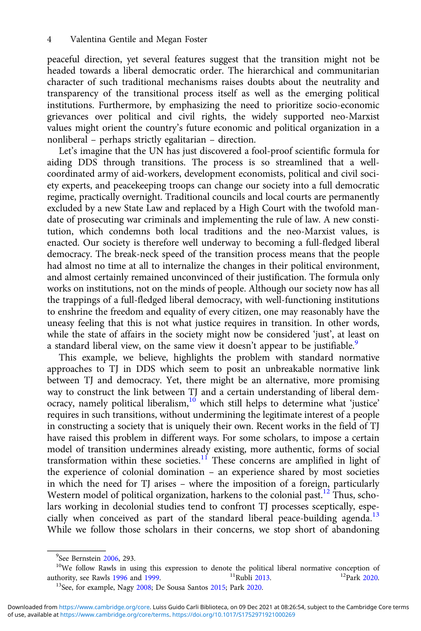peaceful direction, yet several features suggest that the transition might not be headed towards a liberal democratic order. The hierarchical and communitarian character of such traditional mechanisms raises doubts about the neutrality and transparency of the transitional process itself as well as the emerging political institutions. Furthermore, by emphasizing the need to prioritize socio-economic grievances over political and civil rights, the widely supported neo-Marxist values might orient the country's future economic and political organization in a nonliberal – perhaps strictly egalitarian – direction.

Let's imagine that the UN has just discovered a fool-proof scientific formula for aiding DDS through transitions. The process is so streamlined that a wellcoordinated army of aid-workers, development economists, political and civil society experts, and peacekeeping troops can change our society into a full democratic regime, practically overnight. Traditional councils and local courts are permanently excluded by a new State Law and replaced by a High Court with the twofold mandate of prosecuting war criminals and implementing the rule of law. A new constitution, which condemns both local traditions and the neo-Marxist values, is enacted. Our society is therefore well underway to becoming a full-fledged liberal democracy. The break-neck speed of the transition process means that the people had almost no time at all to internalize the changes in their political environment, and almost certainly remained unconvinced of their justification. The formula only works on institutions, not on the minds of people. Although our society now has all the trappings of a full-fledged liberal democracy, with well-functioning institutions to enshrine the freedom and equality of every citizen, one may reasonably have the uneasy feeling that this is not what justice requires in transition. In other words, while the state of affairs in the society might now be considered 'just', at least on a standard liberal view, on the same view it doesn't appear to be justifiable.<sup>9</sup>

This example, we believe, highlights the problem with standard normative approaches to TJ in DDS which seem to posit an unbreakable normative link between TJ and democracy. Yet, there might be an alternative, more promising way to construct the link between TJ and a certain understanding of liberal democracy, namely political liberalism,<sup>10</sup> which still helps to determine what 'justice' requires in such transitions, without undermining the legitimate interest of a people in constructing a society that is uniquely their own. Recent works in the field of TJ have raised this problem in different ways. For some scholars, to impose a certain model of transition undermines already existing, more authentic, forms of social transformation within these societies.<sup>11</sup> These concerns are amplified in light of the experience of colonial domination – an experience shared by most societies in which the need for TJ arises – where the imposition of a foreign, particularly Western model of political organization, harkens to the colonial past.<sup>12</sup> Thus, scholars working in decolonial studies tend to confront TJ processes sceptically, especially when conceived as part of the standard liberal peace-building agenda.<sup>13</sup> While we follow those scholars in their concerns, we stop short of abandoning

<sup>&</sup>lt;sup>9</sup>See Bernstein 2006, 293.

<sup>&</sup>lt;sup>10</sup>We follow Rawls in using this expression to denote the political liberal normative conception of authority, see Rawls 1996 and 1999.<br><sup>11</sup>Rubli 2013. <sup>12</sup>Park 2020.

<sup>&</sup>lt;sup>13</sup>See, for example, Nagy 2008; De Sousa Santos 2015; Park [2020.](#page-21-0)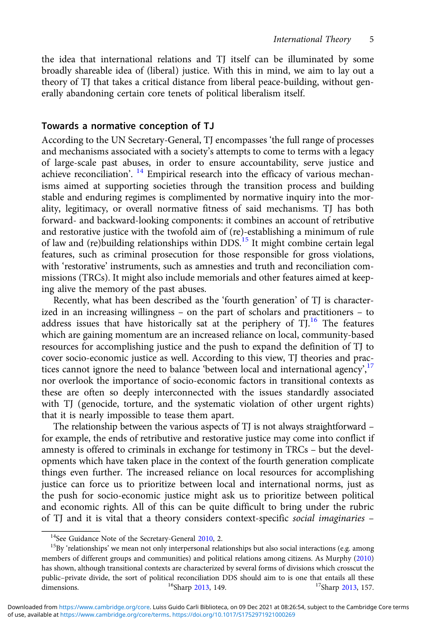the idea that international relations and TJ itself can be illuminated by some broadly shareable idea of (liberal) justice. With this in mind, we aim to lay out a theory of TJ that takes a critical distance from liberal peace-building, without generally abandoning certain core tenets of political liberalism itself.

## Towards a normative conception of TJ

According to the UN Secretary-General, TJ encompasses 'the full range of processes and mechanisms associated with a society's attempts to come to terms with a legacy of large-scale past abuses, in order to ensure accountability, serve justice and achieve reconciliation'. <sup>14</sup> Empirical research into the efficacy of various mechanisms aimed at supporting societies through the transition process and building stable and enduring regimes is complimented by normative inquiry into the morality, legitimacy, or overall normative fitness of said mechanisms. TJ has both forward- and backward-looking components: it combines an account of retributive and restorative justice with the twofold aim of (re)-establishing a minimum of rule of law and (re)building relationships within  $DDS$ .<sup>15</sup> It might combine certain legal features, such as criminal prosecution for those responsible for gross violations, with 'restorative' instruments, such as amnesties and truth and reconciliation commissions (TRCs). It might also include memorials and other features aimed at keeping alive the memory of the past abuses.

Recently, what has been described as the 'fourth generation' of TJ is characterized in an increasing willingness – on the part of scholars and practitioners – to address issues that have historically sat at the periphery of  $\overline{T}$ ,<sup>16</sup> The features which are gaining momentum are an increased reliance on local, community-based resources for accomplishing justice and the push to expand the definition of TJ to cover socio-economic justice as well. According to this view, TJ theories and practices cannot ignore the need to balance 'between local and international agency',<sup>17</sup> nor overlook the importance of socio-economic factors in transitional contexts as these are often so deeply interconnected with the issues standardly associated with TJ (genocide, torture, and the systematic violation of other urgent rights) that it is nearly impossible to tease them apart.

The relationship between the various aspects of TJ is not always straightforward – for example, the ends of retributive and restorative justice may come into conflict if amnesty is offered to criminals in exchange for testimony in TRCs – but the developments which have taken place in the context of the fourth generation complicate things even further. The increased reliance on local resources for accomplishing justice can force us to prioritize between local and international norms, just as the push for socio-economic justice might ask us to prioritize between political and economic rights. All of this can be quite difficult to bring under the rubric of TJ and it is vital that a theory considers context-specific social imaginaries –

<sup>&</sup>lt;sup>14</sup>See Guidance Note of the Secretary-General [2010,](#page-21-0) 2.<br><sup>15</sup>By 'relationships' we mean not only interpersonal relationships but also social interactions (e.g. among members of different groups and communities) and political relations among citizens. As Murphy ([2010\)](#page-21-0) has shown, although transitional contexts are characterized by several forms of divisions which crosscut the public–private divide, the sort of political reconciliation DDS should aim to is one that entails all these dimensions. <sup>16</sup>Sharp 2013, 149. dimensions.  $16$ Sharp [2013](#page-22-0), 149.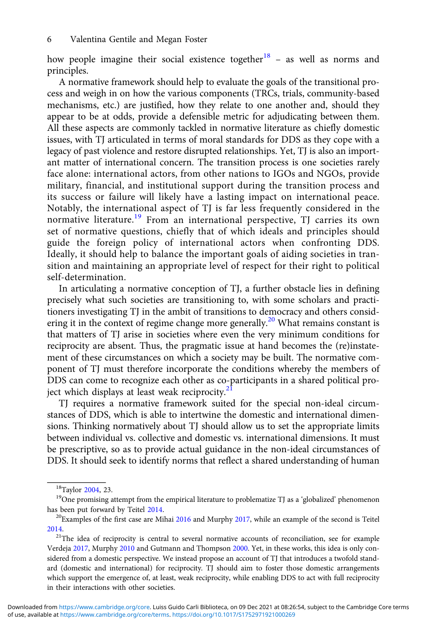how people imagine their social existence together $18$  – as well as norms and principles.

A normative framework should help to evaluate the goals of the transitional process and weigh in on how the various components (TRCs, trials, community-based mechanisms, etc.) are justified, how they relate to one another and, should they appear to be at odds, provide a defensible metric for adjudicating between them. All these aspects are commonly tackled in normative literature as chiefly domestic issues, with TJ articulated in terms of moral standards for DDS as they cope with a legacy of past violence and restore disrupted relationships. Yet, TJ is also an important matter of international concern. The transition process is one societies rarely face alone: international actors, from other nations to IGOs and NGOs, provide military, financial, and institutional support during the transition process and its success or failure will likely have a lasting impact on international peace. Notably, the international aspect of TJ is far less frequently considered in the normative literature.<sup>19</sup> From an international perspective, TJ carries its own set of normative questions, chiefly that of which ideals and principles should guide the foreign policy of international actors when confronting DDS. Ideally, it should help to balance the important goals of aiding societies in transition and maintaining an appropriate level of respect for their right to political self-determination.

In articulating a normative conception of TJ, a further obstacle lies in defining precisely what such societies are transitioning to, with some scholars and practitioners investigating TJ in the ambit of transitions to democracy and others considering it in the context of regime change more generally.<sup>20</sup> What remains constant is that matters of TJ arise in societies where even the very minimum conditions for reciprocity are absent. Thus, the pragmatic issue at hand becomes the (re)instatement of these circumstances on which a society may be built. The normative component of TJ must therefore incorporate the conditions whereby the members of DDS can come to recognize each other as co-participants in a shared political project which displays at least weak reciprocity. $2<sup>1</sup>$ 

TJ requires a normative framework suited for the special non-ideal circumstances of DDS, which is able to intertwine the domestic and international dimensions. Thinking normatively about TJ should allow us to set the appropriate limits between individual vs. collective and domestic vs. international dimensions. It must be prescriptive, so as to provide actual guidance in the non-ideal circumstances of DDS. It should seek to identify norms that reflect a shared understanding of human

<sup>&</sup>lt;sup>18</sup>Taylor [2004](#page-22-0), 23.<br><sup>19</sup>One promising attempt from the empirical literature to problematize TJ as a 'globalized' phenomenon has been put forward by Teitel [2014](#page-22-0).<br><sup>20</sup>Examples of the first case are Mihai [2016](#page-21-0) and Murphy [2017,](#page-21-0) while an example of the second is Teitel

[<sup>2014</sup>](#page-22-0).

<sup>&</sup>lt;sup>21</sup>The idea of reciprocity is central to several normative accounts of reconciliation, see for example Verdeja [2017](#page-22-0), Murphy [2010](#page-21-0) and Gutmann and Thompson [2000.](#page-21-0) Yet, in these works, this idea is only considered from a domestic perspective. We instead propose an account of TJ that introduces a twofold standard (domestic and international) for reciprocity. TJ should aim to foster those domestic arrangements which support the emergence of, at least, weak reciprocity, while enabling DDS to act with full reciprocity in their interactions with other societies.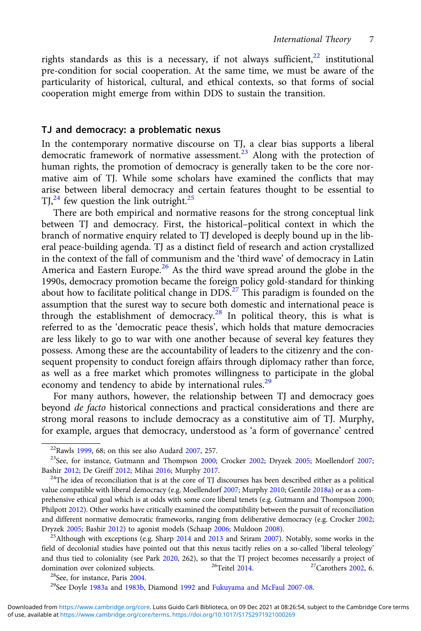rights standards as this is a necessary, if not always sufficient, $22$  institutional pre-condition for social cooperation. At the same time, we must be aware of the particularity of historical, cultural, and ethical contexts, so that forms of social cooperation might emerge from within DDS to sustain the transition.

## TJ and democracy: a problematic nexus

In the contemporary normative discourse on TJ, a clear bias supports a liberal democratic framework of normative assessment.<sup>23</sup> Along with the protection of human rights, the promotion of democracy is generally taken to be the core normative aim of TJ. While some scholars have examined the conflicts that may arise between liberal democracy and certain features thought to be essential to  $TI<sub>1</sub><sup>24</sup>$  few question the link outright.<sup>25</sup>

There are both empirical and normative reasons for the strong conceptual link between TJ and democracy. First, the historical–political context in which the branch of normative enquiry related to TJ developed is deeply bound up in the liberal peace-building agenda. TJ as a distinct field of research and action crystallized in the context of the fall of communism and the 'third wave' of democracy in Latin America and Eastern Europe.<sup>26</sup> As the third wave spread around the globe in the 1990s, democracy promotion became the foreign policy gold-standard for thinking about how to facilitate political change in DDS.<sup>27</sup> This paradigm is founded on the assumption that the surest way to secure both domestic and international peace is through the establishment of democracy.<sup>28</sup> In political theory, this is what is referred to as the 'democratic peace thesis', which holds that mature democracies are less likely to go to war with one another because of several key features they possess. Among these are the accountability of leaders to the citizenry and the consequent propensity to conduct foreign affairs through diplomacy rather than force, as well as a free market which promotes willingness to participate in the global economy and tendency to abide by international rules.<sup>29</sup>

For many authors, however, the relationship between TJ and democracy goes beyond de facto historical connections and practical considerations and there are strong moral reasons to include democracy as a constitutive aim of TJ. Murphy, for example, argues that democracy, understood as 'a form of governance' centred

field of decolonial studies have pointed out that this nexus tacitly relies on a so-called 'liberal teleology' and thus tied to coloniality (see Park [2020,](#page-21-0) 262), so that the TJ project becomes necessarily a project of domination over colonized subjects.  $^{26}$  Teitel 2014.  $^{27}$ Carothers 2002, 6. domination over colonized subjects. <sup>26</sup>Teitel [2014.](#page-22-0) <sup>27</sup><br><sup>28</sup>See, for instance, Paris [2004](#page-21-0). Diamond [1992](#page-20-0) and [Fukuyama and McFaul 2007-08.](#page-21-0)

<sup>&</sup>lt;sup>22</sup>Rawls [1999,](#page-21-0) 68; on this see also Audard [2007](#page-20-0), 257.<br><sup>23</sup>See, for instance, Gutmann and Thompson [2000;](#page-21-0) Crocker [2002](#page-20-0); Dryzek [2005](#page-20-0); Moellendorf [2007;](#page-21-0) Bashir [2012;](#page-20-0) De Greiff [2012](#page-20-0); Mihai [2016;](#page-21-0) Murphy [2017](#page-21-0).<br><sup>24</sup>The idea of reconciliation that is at the core of TJ discourses has been described either as a political

value compatible with liberal democracy (e.g. Moellendorf [2007](#page-21-0); Murphy [2010](#page-21-0); Gentile [2018a\)](#page-21-0) or as a comprehensive ethical goal which is at odds with some core liberal tenets (e.g. Gutmann and Thompson [2000;](#page-21-0) Philpott [2012](#page-21-0)). Other works have critically examined the compatibility between the pursuit of reconciliation and different normative democratic frameworks, ranging from deliberative democracy (e.g. Crocker [2002;](#page-20-0) Dryzek [2005](#page-20-0); Bashir [2012](#page-20-0)) to agonist models (Schaap [2006](#page-22-0); Muldoon [2008](#page-21-0)). 25Although with exceptions (e.g. Sharp [2014](#page-22-0) and [2013](#page-22-0) and Sriram [2007](#page-22-0)). Notably, some works in the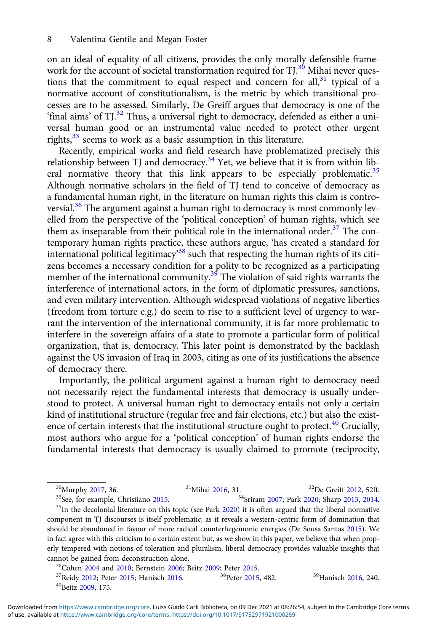on an ideal of equality of all citizens, provides the only morally defensible framework for the account of societal transformation required for TJ.<sup>30</sup> Mihai never questions that the commitment to equal respect and concern for all, $31$  typical of a normative account of constitutionalism, is the metric by which transitional processes are to be assessed. Similarly, De Greiff argues that democracy is one of the 'final aims' of TJ.<sup>32</sup> Thus, a universal right to democracy, defended as either a universal human good or an instrumental value needed to protect other urgent rights,<sup>33</sup> seems to work as a basic assumption in this literature.

Recently, empirical works and field research have problematized precisely this relationship between TJ and democracy.<sup>34</sup> Yet, we believe that it is from within liberal normative theory that this link appears to be especially problematic.<sup>35</sup> Although normative scholars in the field of TJ tend to conceive of democracy as a fundamental human right, in the literature on human rights this claim is controversial.<sup>36</sup> The argument against a human right to democracy is most commonly levelled from the perspective of the 'political conception' of human rights, which see them as inseparable from their political role in the international order.<sup>37</sup> The contemporary human rights practice, these authors argue, 'has created a standard for international political legitimacy<sup>38</sup> such that respecting the human rights of its citizens becomes a necessary condition for a polity to be recognized as a participating member of the international community.<sup>39</sup> The violation of said rights warrants the interference of international actors, in the form of diplomatic pressures, sanctions, and even military intervention. Although widespread violations of negative liberties (freedom from torture e.g.) do seem to rise to a sufficient level of urgency to warrant the intervention of the international community, it is far more problematic to interfere in the sovereign affairs of a state to promote a particular form of political organization, that is, democracy. This later point is demonstrated by the backlash against the US invasion of Iraq in 2003, citing as one of its justifications the absence of democracy there.

Importantly, the political argument against a human right to democracy need not necessarily reject the fundamental interests that democracy is usually understood to protect. A universal human right to democracy entails not only a certain kind of institutional structure (regular free and fair elections, etc.) but also the existence of certain interests that the institutional structure ought to protect. $40$  Crucially, most authors who argue for a 'political conception' of human rights endorse the fundamental interests that democracy is usually claimed to promote (reciprocity,

<sup>30</sup>Murphy [2017](#page-21-0), 36. <sup>31</sup>Mihai [2016,](#page-21-0) 31. <sup>32</sup>De Greiff [2012,](#page-20-0) 52ff.<br><sup>33</sup>See, for example, Christiano [2015.](#page-20-0) <sup>34</sup>Sriram [2007](#page-22-0); Park [2020](#page-21-0); Sharp [2013,](#page-22-0) [2014.](#page-22-0)<br><sup>35</sup>In the decolonial literature on this topic (see Park [2020\)](#page-21-0) it is component in TJ discourses is itself problematic, as it reveals a western-centric form of domination that should be abandoned in favour of more radical counterhegemonic energies (De Sousa Santos [2015](#page-20-0)). We in fact agree with this criticism to a certain extent but, as we show in this paper, we believe that when properly tempered with notions of toleration and pluralism, liberal democracy provides valuable insights that

cannot be gained from deconstruction alone.<br><sup>36</sup>Cohen [2004](#page-20-0) and [2010](#page-20-0); Bernstein [2006;](#page-20-0) Beitz [2009;](#page-20-0) Peter [2015.](#page-21-0)<br><sup>37</sup>Reidy [2012;](#page-21-0) Peter [2015](#page-21-0); Hanisch [2016](#page-21-0). <sup>38</sup>Peter 2015, 482. <sup>39</sup>Hanisch [2016,](#page-21-0) 240.<br><sup>40</sup>Beitz [2009,](#page-20-0) 175.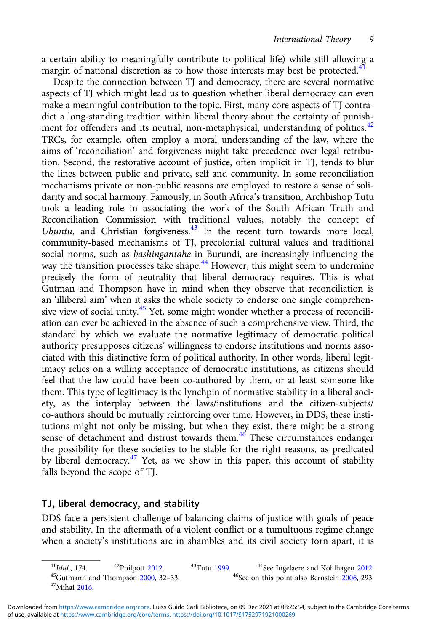a certain ability to meaningfully contribute to political life) while still allowing a margin of national discretion as to how those interests may best be protected.<sup>41</sup>

Despite the connection between TJ and democracy, there are several normative aspects of TJ which might lead us to question whether liberal democracy can even make a meaningful contribution to the topic. First, many core aspects of TJ contradict a long-standing tradition within liberal theory about the certainty of punishment for offenders and its neutral, non-metaphysical, understanding of politics.<sup>42</sup> TRCs, for example, often employ a moral understanding of the law, where the aims of 'reconciliation' and forgiveness might take precedence over legal retribution. Second, the restorative account of justice, often implicit in TJ, tends to blur the lines between public and private, self and community. In some reconciliation mechanisms private or non-public reasons are employed to restore a sense of solidarity and social harmony. Famously, in South Africa's transition, Archbishop Tutu took a leading role in associating the work of the South African Truth and Reconciliation Commission with traditional values, notably the concept of Ubuntu, and Christian forgiveness.<sup>43</sup> In the recent turn towards more local, community-based mechanisms of TJ, precolonial cultural values and traditional social norms, such as bashingantahe in Burundi, are increasingly influencing the way the transition processes take shape.<sup> $44$ </sup> However, this might seem to undermine precisely the form of neutrality that liberal democracy requires. This is what Gutman and Thompson have in mind when they observe that reconciliation is an 'illiberal aim' when it asks the whole society to endorse one single comprehensive view of social unity.<sup>45</sup> Yet, some might wonder whether a process of reconciliation can ever be achieved in the absence of such a comprehensive view. Third, the standard by which we evaluate the normative legitimacy of democratic political authority presupposes citizens' willingness to endorse institutions and norms associated with this distinctive form of political authority. In other words, liberal legitimacy relies on a willing acceptance of democratic institutions, as citizens should feel that the law could have been co-authored by them, or at least someone like them. This type of legitimacy is the lynchpin of normative stability in a liberal society, as the interplay between the laws/institutions and the citizen-subjects/ co-authors should be mutually reinforcing over time. However, in DDS, these institutions might not only be missing, but when they exist, there might be a strong sense of detachment and distrust towards them.<sup>46</sup> These circumstances endanger the possibility for these societies to be stable for the right reasons, as predicated by liberal democracy.<sup>47</sup> Yet, as we show in this paper, this account of stability falls beyond the scope of TJ.

## TJ, liberal democracy, and stability

DDS face a persistent challenge of balancing claims of justice with goals of peace and stability. In the aftermath of a violent conflict or a tumultuous regime change when a society's institutions are in shambles and its civil society torn apart, it is

<sup>&</sup>lt;sup>41</sup>Idid., 174. <sup>42</sup>Philpott [2012](#page-21-0). <sup>43</sup>Tutu [1999](#page-21-0). <sup>44</sup>See Ingelaere and Kohlhagen [2012.](#page-21-0)<br><sup>45</sup>Gutmann and Thompson [2000](#page-21-0), 32–33. <sup>45</sup>See on this point also Bernstein [2006](#page-20-0), 293. <sup>47</sup>Mihai [2016](#page-21-0).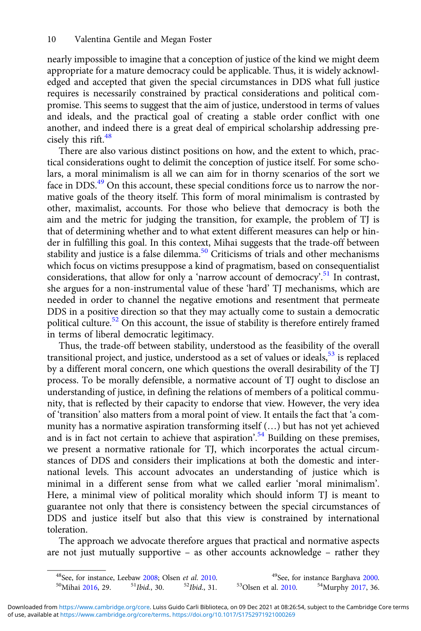nearly impossible to imagine that a conception of justice of the kind we might deem appropriate for a mature democracy could be applicable. Thus, it is widely acknowledged and accepted that given the special circumstances in DDS what full justice requires is necessarily constrained by practical considerations and political compromise. This seems to suggest that the aim of justice, understood in terms of values and ideals, and the practical goal of creating a stable order conflict with one another, and indeed there is a great deal of empirical scholarship addressing precisely this rift. $48$ 

There are also various distinct positions on how, and the extent to which, practical considerations ought to delimit the conception of justice itself. For some scholars, a moral minimalism is all we can aim for in thorny scenarios of the sort we face in DDS.<sup>49</sup> On this account, these special conditions force us to narrow the normative goals of the theory itself. This form of moral minimalism is contrasted by other, maximalist, accounts. For those who believe that democracy is both the aim and the metric for judging the transition, for example, the problem of TJ is that of determining whether and to what extent different measures can help or hinder in fulfilling this goal. In this context, Mihai suggests that the trade-off between stability and justice is a false dilemma.<sup>50</sup> Criticisms of trials and other mechanisms which focus on victims presuppose a kind of pragmatism, based on consequentialist considerations, that allow for only a 'narrow account of democracy'. <sup>51</sup> In contrast, she argues for a non-instrumental value of these 'hard' TJ mechanisms, which are needed in order to channel the negative emotions and resentment that permeate DDS in a positive direction so that they may actually come to sustain a democratic political culture.<sup>52</sup> On this account, the issue of stability is therefore entirely framed in terms of liberal democratic legitimacy.

Thus, the trade-off between stability, understood as the feasibility of the overall transitional project, and justice, understood as a set of values or ideals, $53$  is replaced by a different moral concern, one which questions the overall desirability of the TJ process. To be morally defensible, a normative account of TJ ought to disclose an understanding of justice, in defining the relations of members of a political community, that is reflected by their capacity to endorse that view. However, the very idea of 'transition' also matters from a moral point of view. It entails the fact that 'a community has a normative aspiration transforming itself (…) but has not yet achieved and is in fact not certain to achieve that aspiration'.<sup>54</sup> Building on these premises, we present a normative rationale for TJ, which incorporates the actual circumstances of DDS and considers their implications at both the domestic and international levels. This account advocates an understanding of justice which is minimal in a different sense from what we called earlier 'moral minimalism'. Here, a minimal view of political morality which should inform TJ is meant to guarantee not only that there is consistency between the special circumstances of DDS and justice itself but also that this view is constrained by international toleration.

The approach we advocate therefore argues that practical and normative aspects are not just mutually supportive – as other accounts acknowledge – rather they

<sup>&</sup>lt;sup>48</sup>See, for instance, Leebaw [2008;](#page-21-0) Olsen *et al.* [2010.](#page-21-0) <sup>49</sup>See, for instance Barghava [2000.](#page-20-0)<br><sup>50</sup>Mihai [2016,](#page-21-0) 29. <sup>51</sup>Ibid., 30. <sup>52</sup>Ibid., 31. <sup>53</sup>Olsen et al. 2010. <sup>54</sup>Murphy [2017,](#page-21-0) 36.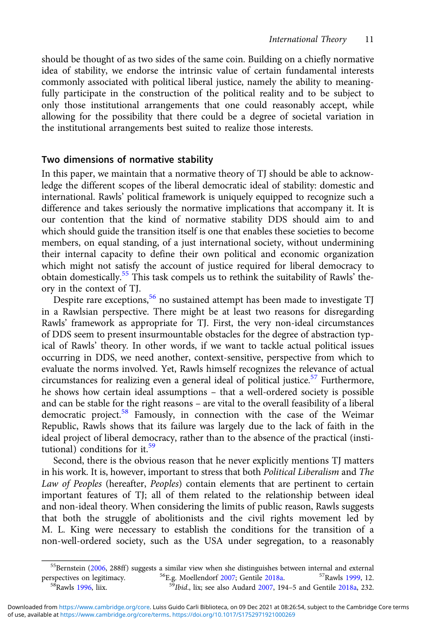should be thought of as two sides of the same coin. Building on a chiefly normative idea of stability, we endorse the intrinsic value of certain fundamental interests commonly associated with political liberal justice, namely the ability to meaningfully participate in the construction of the political reality and to be subject to only those institutional arrangements that one could reasonably accept, while allowing for the possibility that there could be a degree of societal variation in the institutional arrangements best suited to realize those interests.

## Two dimensions of normative stability

In this paper, we maintain that a normative theory of TJ should be able to acknowledge the different scopes of the liberal democratic ideal of stability: domestic and international. Rawls' political framework is uniquely equipped to recognize such a difference and takes seriously the normative implications that accompany it. It is our contention that the kind of normative stability DDS should aim to and which should guide the transition itself is one that enables these societies to become members, on equal standing, of a just international society, without undermining their internal capacity to define their own political and economic organization which might not satisfy the account of justice required for liberal democracy to obtain domestically.<sup>55</sup> This task compels us to rethink the suitability of Rawls' theory in the context of TJ.

Despite rare exceptions,  $56$  no sustained attempt has been made to investigate TJ in a Rawlsian perspective. There might be at least two reasons for disregarding Rawls' framework as appropriate for TJ. First, the very non-ideal circumstances of DDS seem to present insurmountable obstacles for the degree of abstraction typical of Rawls' theory. In other words, if we want to tackle actual political issues occurring in DDS, we need another, context-sensitive, perspective from which to evaluate the norms involved. Yet, Rawls himself recognizes the relevance of actual circumstances for realizing even a general ideal of political justice.<sup>57</sup> Furthermore, he shows how certain ideal assumptions – that a well-ordered society is possible and can be stable for the right reasons – are vital to the overall feasibility of a liberal democratic project.58 Famously, in connection with the case of the Weimar Republic, Rawls shows that its failure was largely due to the lack of faith in the ideal project of liberal democracy, rather than to the absence of the practical (institutional) conditions for it.<sup>59</sup>

Second, there is the obvious reason that he never explicitly mentions TJ matters in his work. It is, however, important to stress that both Political Liberalism and The Law of Peoples (hereafter, Peoples) contain elements that are pertinent to certain important features of TJ; all of them related to the relationship between ideal and non-ideal theory. When considering the limits of public reason, Rawls suggests that both the struggle of abolitionists and the civil rights movement led by M. L. King were necessary to establish the conditions for the transition of a non-well-ordered society, such as the USA under segregation, to a reasonably

<sup>&</sup>lt;sup>55</sup>Bernstein ([2006,](#page-20-0) 288ff) suggests a similar view when she distinguishes between internal and external spectives on legitimacy.  $^{56}$ E.g. Moellendorf 2007; Gentile 2018a.  $^{57}$ Rawls 1999, 12. perspectives on legitimacy. <sup>56</sup>E.g. Moellendorf [2007;](#page-21-0) Gentile [2018a.](#page-21-0) <sup>57</sup>Rawls [1999,](#page-21-0) 12. <sup>58</sup>Rawls [1996,](#page-21-0) liix. <sup>59</sup>*Ibid.*, lix; see also Audard [2007](#page-20-0), 194–5 and Gentile [2018a](#page-21-0), 232.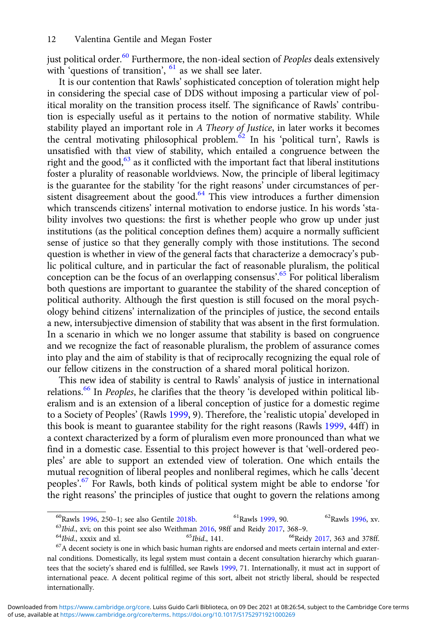just political order. $60$  Furthermore, the non-ideal section of *Peoples* deals extensively with 'questions of transition',  $61$  as we shall see later.

It is our contention that Rawls' sophisticated conception of toleration might help in considering the special case of DDS without imposing a particular view of political morality on the transition process itself. The significance of Rawls' contribution is especially useful as it pertains to the notion of normative stability. While stability played an important role in A Theory of Justice, in later works it becomes the central motivating philosophical problem.<sup>62</sup> In his 'political turn', Rawls is unsatisfied with that view of stability, which entailed a congruence between the right and the good, $63$  as it conflicted with the important fact that liberal institutions foster a plurality of reasonable worldviews. Now, the principle of liberal legitimacy is the guarantee for the stability 'for the right reasons' under circumstances of persistent disagreement about the good.<sup>64</sup> This view introduces a further dimension which transcends citizens' internal motivation to endorse justice. In his words 'stability involves two questions: the first is whether people who grow up under just institutions (as the political conception defines them) acquire a normally sufficient sense of justice so that they generally comply with those institutions. The second question is whether in view of the general facts that characterize a democracy's public political culture, and in particular the fact of reasonable pluralism, the political conception can be the focus of an overlapping consensus'. <sup>65</sup> For political liberalism both questions are important to guarantee the stability of the shared conception of political authority. Although the first question is still focused on the moral psychology behind citizens' internalization of the principles of justice, the second entails a new, intersubjective dimension of stability that was absent in the first formulation. In a scenario in which we no longer assume that stability is based on congruence and we recognize the fact of reasonable pluralism, the problem of assurance comes into play and the aim of stability is that of reciprocally recognizing the equal role of our fellow citizens in the construction of a shared moral political horizon.

This new idea of stability is central to Rawls' analysis of justice in international relations.<sup>66</sup> In *Peoples*, he clarifies that the theory 'is developed within political liberalism and is an extension of a liberal conception of justice for a domestic regime to a Society of Peoples' (Rawls [1999,](#page-21-0) 9). Therefore, the 'realistic utopia' developed in this book is meant to guarantee stability for the right reasons (Rawls [1999,](#page-21-0) 44ff) in a context characterized by a form of pluralism even more pronounced than what we find in a domestic case. Essential to this project however is that 'well-ordered peoples' are able to support an extended view of toleration. One which entails the mutual recognition of liberal peoples and nonliberal regimes, which he calls 'decent peoples'.<sup>67</sup> For Rawls, both kinds of political system might be able to endorse 'for the right reasons' the principles of justice that ought to govern the relations among

<sup>&</sup>lt;sup>60</sup>Rawls [1996](#page-21-0), 250–1; see also Gentile [2018b.](#page-21-0) <sup>61</sup>Rawls [1999](#page-21-0), 90. <sup>62</sup>Rawls [1996,](#page-21-0) xv.<br><sup>63</sup>*Ibid.*, xvi; on this point see also Weithman [2016,](#page-22-0) 98ff and Reidy [2017](#page-22-0), 368–9. <sup>64</sup>*Ibid.*, xxxix and xl. <sup>65</sup>*Ibid.*, 141. <sup>66</sup>

nal conditions. Domestically, its legal system must contain a decent consultation hierarchy which guarantees that the society's shared end is fulfilled, see Rawls [1999](#page-21-0), 71. Internationally, it must act in support of international peace. A decent political regime of this sort, albeit not strictly liberal, should be respected internationally.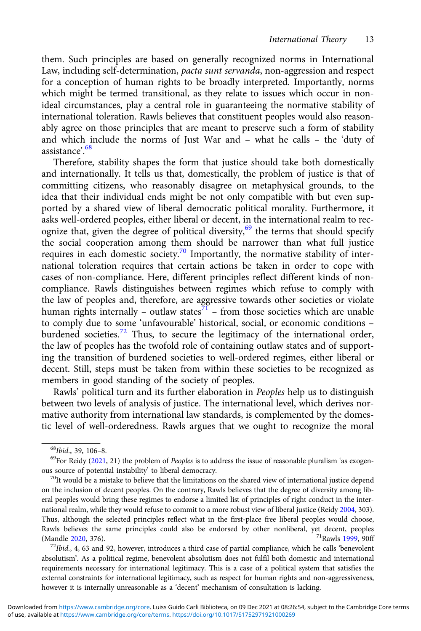them. Such principles are based on generally recognized norms in International Law, including self-determination, pacta sunt servanda, non-aggression and respect for a conception of human rights to be broadly interpreted. Importantly, norms which might be termed transitional, as they relate to issues which occur in nonideal circumstances, play a central role in guaranteeing the normative stability of international toleration. Rawls believes that constituent peoples would also reasonably agree on those principles that are meant to preserve such a form of stability and which include the norms of Just War and – what he calls – the 'duty of assistance'. 68

Therefore, stability shapes the form that justice should take both domestically and internationally. It tells us that, domestically, the problem of justice is that of committing citizens, who reasonably disagree on metaphysical grounds, to the idea that their individual ends might be not only compatible with but even supported by a shared view of liberal democratic political morality. Furthermore, it asks well-ordered peoples, either liberal or decent, in the international realm to recognize that, given the degree of political diversity,<sup>69</sup> the terms that should specify the social cooperation among them should be narrower than what full justice requires in each domestic society.<sup>70</sup> Importantly, the normative stability of international toleration requires that certain actions be taken in order to cope with cases of non-compliance. Here, different principles reflect different kinds of noncompliance. Rawls distinguishes between regimes which refuse to comply with the law of peoples and, therefore, are aggressive towards other societies or violate human rights internally – outlaw states $\overline{I}$  – from those societies which are unable to comply due to some 'unfavourable' historical, social, or economic conditions – burdened societies.<sup>72</sup> Thus, to secure the legitimacy of the international order, the law of peoples has the twofold role of containing outlaw states and of supporting the transition of burdened societies to well-ordered regimes, either liberal or decent. Still, steps must be taken from within these societies to be recognized as members in good standing of the society of peoples.

Rawls' political turn and its further elaboration in Peoples help us to distinguish between two levels of analysis of justice. The international level, which derives normative authority from international law standards, is complemented by the domestic level of well-orderedness. Rawls argues that we ought to recognize the moral

 $^{68}Ibid., 39, 106–8.$ <br> $^{69}$ For Reidy [\(2021,](#page-22-0) 21) the problem of *Peoples* is to address the issue of reasonable pluralism 'as exogenous source of potential instability' to liberal democracy.<br><sup>70</sup>It would be a mistake to believe that the limitations on the shared view of international justice depend

on the inclusion of decent peoples. On the contrary, Rawls believes that the degree of diversity among liberal peoples would bring these regimes to endorse a limited list of principles of right conduct in the international realm, while they would refuse to commit to a more robust view of liberal justice (Reidy [2004](#page-21-0), 303). Thus, although the selected principles reflect what in the first-place free liberal peoples would choose, Rawls believes the same principles could also be endorsed by other nonliberal, yet decent, peoples (Mandle 2020, 376).

<sup>(</sup>Mandle [2020,](#page-21-0) 376).<br><sup>72</sup>Ibid., 4, 63 and 92, however, introduces a third case of partial compliance, which he calls 'benevolent absolutism'. As a political regime, benevolent absolutism does not fulfil both domestic and international requirements necessary for international legitimacy. This is a case of a political system that satisfies the external constraints for international legitimacy, such as respect for human rights and non-aggressiveness, however it is internally unreasonable as a 'decent' mechanism of consultation is lacking.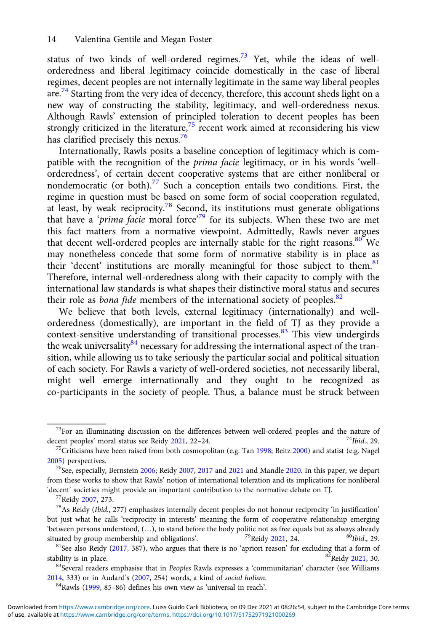status of two kinds of well-ordered regimes. $73$  Yet, while the ideas of wellorderedness and liberal legitimacy coincide domestically in the case of liberal regimes, decent peoples are not internally legitimate in the same way liberal peoples are.<sup>74</sup> Starting from the very idea of decency, therefore, this account sheds light on a new way of constructing the stability, legitimacy, and well-orderedness nexus. Although Rawls' extension of principled toleration to decent peoples has been strongly criticized in the literature,<sup>75</sup> recent work aimed at reconsidering his view has clarified precisely this nexus.<sup>76</sup>

Internationally, Rawls posits a baseline conception of legitimacy which is compatible with the recognition of the prima facie legitimacy, or in his words 'wellorderedness', of certain decent cooperative systems that are either nonliberal or nondemocratic (or both).<sup>77</sup> Such a conception entails two conditions. First, the regime in question must be based on some form of social cooperation regulated, at least, by weak reciprocity.<sup>78</sup> Second, its institutions must generate obligations that have a 'prima facie moral force<sup>79</sup> for its subjects. When these two are met this fact matters from a normative viewpoint. Admittedly, Rawls never argues that decent well-ordered peoples are internally stable for the right reasons.<sup>80</sup> We may nonetheless concede that some form of normative stability is in place as their 'decent' institutions are morally meaningful for those subject to them.<sup>81</sup> Therefore, internal well-orderedness along with their capacity to comply with the international law standards is what shapes their distinctive moral status and secures their role as *bona fide* members of the international society of peoples.<sup>82</sup>

We believe that both levels, external legitimacy (internationally) and wellorderedness (domestically), are important in the field of TJ as they provide a context-sensitive understanding of transitional processes. $83$  This view undergirds the weak universality $84$  necessary for addressing the international aspect of the transition, while allowing us to take seriously the particular social and political situation of each society. For Rawls a variety of well-ordered societies, not necessarily liberal, might well emerge internationally and they ought to be recognized as co-participants in the society of people. Thus, a balance must be struck between

<sup>&</sup>lt;sup>73</sup>For an illuminating discussion on the differences between well-ordered peoples and the nature of cent peoples' moral status see Reidv 2021, 22–24. decent peoples' moral status see Reidy [2021](#page-22-0), 22–24.<br><sup>75</sup>Criticisms have been raised from both cosmopolitan (e.g. Tan [1998;](#page-21-0) Beitz [2000\)](#page-20-0) and statist (e.g. Nagel

[<sup>2005</sup>](#page-21-0)) perspectives.

<sup>&</sup>lt;sup>76</sup>See, especially, Bernstein [2006](#page-20-0); Reidy [2007](#page-20-0), [2017](#page-22-0) and [2021](#page-22-0) and Mandle [2020.](#page-21-0) In this paper, we depart from these works to show that Rawls' notion of international toleration and its implications for nonliberal

<sup>&#</sup>x27;decent' societies might provide an important contribution to the normative debate on TJ.<br><sup>77</sup>Reidy [2007,](#page-20-0) 273. <sup>78</sup>As Reidy (*Ibid.*, 277) emphasizes internally decent peoples do not honour reciprocity 'in justification' but just what he calls 'reciprocity in interests' meaning the form of cooperative relationship emerging 'between persons understood, (...), to stand before the body politic not as free equals but as always already situated by group membership and obligations'.

situated by group membership and obligations'. <sup>79</sup>Reidy [2021](#page-22-0), 24. <sup>80</sup>Ibid., 29. <sup>81</sup>See also Reidy ([2017](#page-22-0), 387), who argues that there is no 'apriori reason' for excluding that a form of stability is in place. stability is in place.<br><sup>83</sup>Several readers emphasise that in *Peoples* Rawls expresses a 'communitarian' character (see Williams

[<sup>2014</sup>](#page-22-0), 333) or in Audard's ([2007](#page-20-0), 254) words, a kind of *social holism*.<br><sup>84</sup>Rawls ([1999](#page-21-0), 85–86) defines his own view as 'universal in reach'.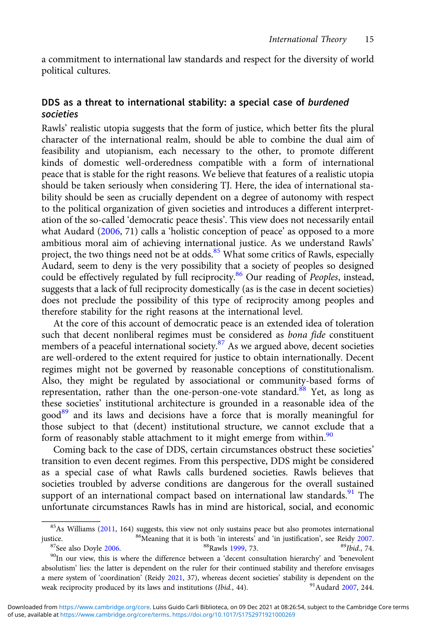a commitment to international law standards and respect for the diversity of world political cultures.

## DDS as a threat to international stability: a special case of burdened societies

Rawls' realistic utopia suggests that the form of justice, which better fits the plural character of the international realm, should be able to combine the dual aim of feasibility and utopianism, each necessary to the other, to promote different kinds of domestic well-orderedness compatible with a form of international peace that is stable for the right reasons. We believe that features of a realistic utopia should be taken seriously when considering TJ. Here, the idea of international stability should be seen as crucially dependent on a degree of autonomy with respect to the political organization of given societies and introduces a different interpretation of the so-called 'democratic peace thesis'. This view does not necessarily entail what Audard [\(2006,](#page-20-0) 71) calls a 'holistic conception of peace' as opposed to a more ambitious moral aim of achieving international justice. As we understand Rawls' project, the two things need not be at odds.<sup>85</sup> What some critics of Rawls, especially Audard, seem to deny is the very possibility that a society of peoples so designed could be effectively regulated by full reciprocity.<sup>86</sup> Our reading of *Peoples*, instead, suggests that a lack of full reciprocity domestically (as is the case in decent societies) does not preclude the possibility of this type of reciprocity among peoples and therefore stability for the right reasons at the international level.

At the core of this account of democratic peace is an extended idea of toleration such that decent nonliberal regimes must be considered as bona fide constituent members of a peaceful international society.<sup>87</sup> As we argued above, decent societies are well-ordered to the extent required for justice to obtain internationally. Decent regimes might not be governed by reasonable conceptions of constitutionalism. Also, they might be regulated by associational or community-based forms of representation, rather than the one-person-one-vote standard.<sup>88</sup> Yet, as long as these societies' institutional architecture is grounded in a reasonable idea of the good<sup>89</sup> and its laws and decisions have a force that is morally meaningful for those subject to that (decent) institutional structure, we cannot exclude that a form of reasonably stable attachment to it might emerge from within.<sup>90</sup>

Coming back to the case of DDS, certain circumstances obstruct these societies' transition to even decent regimes. From this perspective, DDS might be considered as a special case of what Rawls calls burdened societies. Rawls believes that societies troubled by adverse conditions are dangerous for the overall sustained support of an international compact based on international law standards. $91$  The unfortunate circumstances Rawls has in mind are historical, social, and economic

justice. <sup>86</sup>Meaning that it is both 'in interests' and 'in justification', see Reidy [2007.](#page-21-0)<br><sup>87</sup>See also Doyle [2006](#page-20-0). <sup>88</sup>Rawls [1999](#page-21-0), 73. <sup>89</sup>Ibid., 74.<br><sup>90</sup>In our view, this is where the difference between a 'decent consul absolutism' lies: the latter is dependent on the ruler for their continued stability and therefore envisages a mere system of 'coordination' (Reidy [2021,](#page-22-0) 37), whereas decent societies' stability is dependent on the weak reciprocity produced by its laws and institutions (*Ibid.*, 44). weak reciprocity produced by its laws and institutions (Ibid., 44).

<sup>&</sup>lt;sup>85</sup>As Williams ([2011,](#page-22-0) 164) suggests, this view not only sustains peace but also promotes international tice.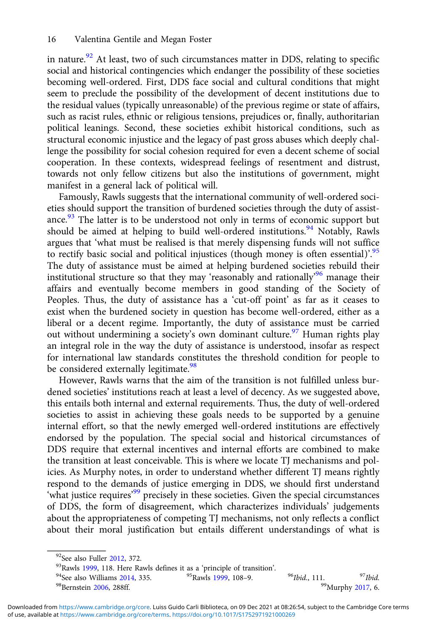in nature. $92$  At least, two of such circumstances matter in DDS, relating to specific social and historical contingencies which endanger the possibility of these societies becoming well-ordered. First, DDS face social and cultural conditions that might seem to preclude the possibility of the development of decent institutions due to the residual values (typically unreasonable) of the previous regime or state of affairs, such as racist rules, ethnic or religious tensions, prejudices or, finally, authoritarian political leanings. Second, these societies exhibit historical conditions, such as structural economic injustice and the legacy of past gross abuses which deeply challenge the possibility for social cohesion required for even a decent scheme of social cooperation. In these contexts, widespread feelings of resentment and distrust, towards not only fellow citizens but also the institutions of government, might manifest in a general lack of political will.

Famously, Rawls suggests that the international community of well-ordered societies should support the transition of burdened societies through the duty of assistance. $93$  The latter is to be understood not only in terms of economic support but should be aimed at helping to build well-ordered institutions.<sup>94</sup> Notably, Rawls argues that 'what must be realised is that merely dispensing funds will not suffice to rectify basic social and political injustices (though money is often essential)<sup>' 95</sup> The duty of assistance must be aimed at helping burdened societies rebuild their institutional structure so that they may 'reasonably and rationally' <sup>96</sup> manage their affairs and eventually become members in good standing of the Society of Peoples. Thus, the duty of assistance has a 'cut-off point' as far as it ceases to exist when the burdened society in question has become well-ordered, either as a liberal or a decent regime. Importantly, the duty of assistance must be carried out without undermining a society's own dominant culture.<sup>97</sup> Human rights play an integral role in the way the duty of assistance is understood, insofar as respect for international law standards constitutes the threshold condition for people to be considered externally legitimate.<sup>98</sup>

However, Rawls warns that the aim of the transition is not fulfilled unless burdened societies' institutions reach at least a level of decency. As we suggested above, this entails both internal and external requirements. Thus, the duty of well-ordered societies to assist in achieving these goals needs to be supported by a genuine internal effort, so that the newly emerged well-ordered institutions are effectively endorsed by the population. The special social and historical circumstances of DDS require that external incentives and internal efforts are combined to make the transition at least conceivable. This is where we locate TJ mechanisms and policies. As Murphy notes, in order to understand whether different TJ means rightly respond to the demands of justice emerging in DDS, we should first understand 'what justice requires'<sup>99</sup> precisely in these societies. Given the special circumstances of DDS, the form of disagreement, which characterizes individuals' judgements about the appropriateness of competing TJ mechanisms, not only reflects a conflict about their moral justification but entails different understandings of what is

<sup>&</sup>lt;sup>92</sup>See also Fuller [2012](#page-21-0), 372.<br><sup>93</sup>Rawls [1999](#page-21-0), 118. Here Rawls defines it as a 'principle of transition'.<br><sup>94</sup>See also Williams [2014,](#page-22-0) 335. <sup>95</sup>Rawls 1999, 108–9. <sup>96</sup>Ibid., 111. <sup>97</sup>Ibid. <sup>99</sup>Murphy [2017](#page-21-0), 6.<br><sup>98</sup>Bernstein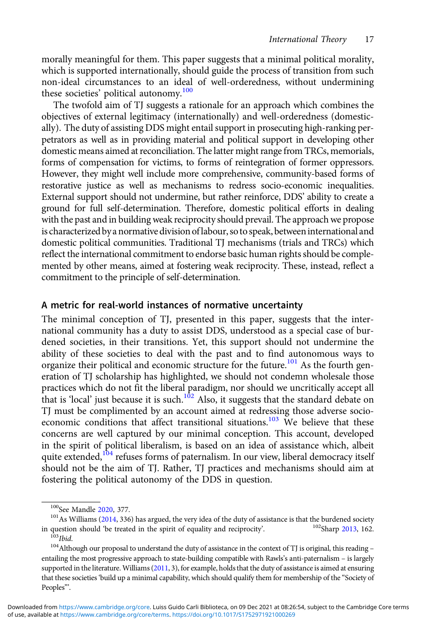morally meaningful for them. This paper suggests that a minimal political morality, which is supported internationally, should guide the process of transition from such non-ideal circumstances to an ideal of well-orderedness, without undermining these societies' political autonomy.<sup>100</sup>

The twofold aim of TJ suggests a rationale for an approach which combines the objectives of external legitimacy (internationally) and well-orderedness (domestically). The duty of assisting DDS might entail support in prosecuting high-ranking perpetrators as well as in providing material and political support in developing other domestic means aimed at reconciliation. The latter might range from TRCs, memorials, forms of compensation for victims, to forms of reintegration of former oppressors. However, they might well include more comprehensive, community-based forms of restorative justice as well as mechanisms to redress socio-economic inequalities. External support should not undermine, but rather reinforce, DDS' ability to create a ground for full self-determination. Therefore, domestic political efforts in dealing with the past and in building weak reciprocity should prevail. The approach we propose is characterized by a normative division of labour, so to speak, between international and domestic political communities. Traditional TJ mechanisms (trials and TRCs) which reflect the international commitment to endorse basic human rights should be complemented by other means, aimed at fostering weak reciprocity. These, instead, reflect a commitment to the principle of self-determination.

## A metric for real-world instances of normative uncertainty

The minimal conception of TJ, presented in this paper, suggests that the international community has a duty to assist DDS, understood as a special case of burdened societies, in their transitions. Yet, this support should not undermine the ability of these societies to deal with the past and to find autonomous ways to organize their political and economic structure for the future.<sup>101</sup> As the fourth generation of TJ scholarship has highlighted, we should not condemn wholesale those practices which do not fit the liberal paradigm, nor should we uncritically accept all that is 'local' just because it is such. $102$  Also, it suggests that the standard debate on TJ must be complimented by an account aimed at redressing those adverse socioeconomic conditions that affect transitional situations.<sup>103</sup> We believe that these concerns are well captured by our minimal conception. This account, developed in the spirit of political liberalism, is based on an idea of assistance which, albeit quite extended,<sup>104</sup> refuses forms of paternalism. In our view, liberal democracy itself should not be the aim of TJ. Rather, TJ practices and mechanisms should aim at fostering the political autonomy of the DDS in question.

<sup>&</sup>lt;sup>100</sup>See Mandle [2020](#page-21-0), 377.<br><sup>101</sup>As Williams ([2014,](#page-22-0) 336) has argued, the very idea of the duty of assistance is that the burdened society question should 'be treated in the spirit of equality and reciprocity'.  $102$ Sharp 2 in question should 'be treated in the spirit of equality and reciprocity'. <sup>102</sup>Sharp [2013](#page-22-0), 162. <sup>103</sup>Ibid. <sup>104</sup>Although our proposal to understand the duty of assistance in the context of TJ is original, this reading –

entailing the most progressive approach to state-building compatible with Rawls's anti-paternalism – is largely supported in the literature. Williams [\(2011](#page-22-0), 3), for example, holds that the duty of assistance is aimed at ensuring that these societies 'build up a minimal capability, which should qualify them for membership of the "Society of Peoples"'.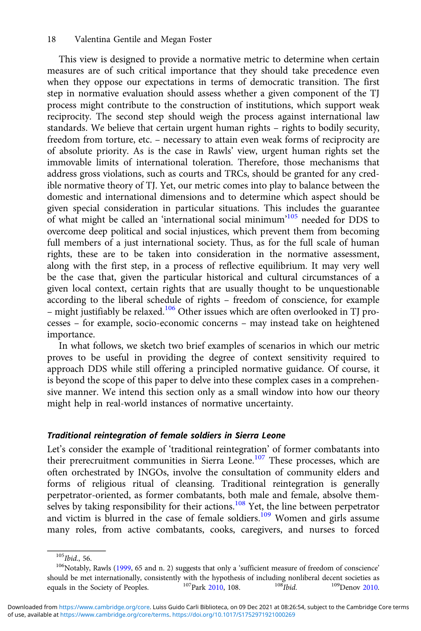This view is designed to provide a normative metric to determine when certain measures are of such critical importance that they should take precedence even when they oppose our expectations in terms of democratic transition. The first step in normative evaluation should assess whether a given component of the TJ process might contribute to the construction of institutions, which support weak reciprocity. The second step should weigh the process against international law standards. We believe that certain urgent human rights – rights to bodily security, freedom from torture, etc. – necessary to attain even weak forms of reciprocity are of absolute priority. As is the case in Rawls' view, urgent human rights set the immovable limits of international toleration. Therefore, those mechanisms that address gross violations, such as courts and TRCs, should be granted for any credible normative theory of TJ. Yet, our metric comes into play to balance between the domestic and international dimensions and to determine which aspect should be given special consideration in particular situations. This includes the guarantee of what might be called an 'international social minimum'<sup>105</sup> needed for DDS to overcome deep political and social injustices, which prevent them from becoming full members of a just international society. Thus, as for the full scale of human rights, these are to be taken into consideration in the normative assessment, along with the first step, in a process of reflective equilibrium. It may very well be the case that, given the particular historical and cultural circumstances of a given local context, certain rights that are usually thought to be unquestionable according to the liberal schedule of rights – freedom of conscience, for example – might justifiably be relaxed.<sup>106</sup> Other issues which are often overlooked in TJ processes – for example, socio-economic concerns – may instead take on heightened importance.

In what follows, we sketch two brief examples of scenarios in which our metric proves to be useful in providing the degree of context sensitivity required to approach DDS while still offering a principled normative guidance. Of course, it is beyond the scope of this paper to delve into these complex cases in a comprehensive manner. We intend this section only as a small window into how our theory might help in real-world instances of normative uncertainty.

## Traditional reintegration of female soldiers in Sierra Leone

Let's consider the example of 'traditional reintegration' of former combatants into their prerecruitment communities in Sierra Leone.<sup>107</sup> These processes, which are often orchestrated by INGOs, involve the consultation of community elders and forms of religious ritual of cleansing. Traditional reintegration is generally perpetrator-oriented, as former combatants, both male and female, absolve themselves by taking responsibility for their actions.<sup>108</sup> Yet, the line between perpetrator and victim is blurred in the case of female soldiers.<sup>109</sup> Women and girls assume many roles, from active combatants, cooks, caregivers, and nurses to forced

<sup>&</sup>lt;sup>105</sup>Ibid., 56. 106Notably, Rawls ([1999](#page-21-0), 65 and n. 2) suggests that only a 'sufficient measure of freedom of conscience' should be met internationally, consistently with the hypothesis of including nonliberal decent societies as<br>equals in the Society of Peoples.  $107$ Park [2010](#page-21-0), 108.  $108$ <sub>Ibid.</sub>  $109$ Denov [2010.](#page-20-0)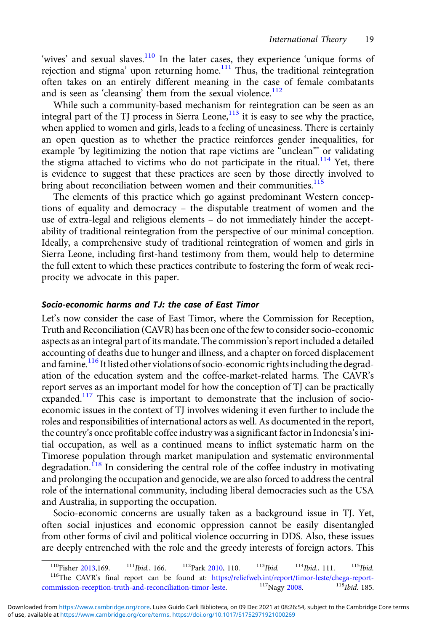'wives' and sexual slaves.<sup>110</sup> In the later cases, they experience 'unique forms of rejection and stigma' upon returning home.<sup>111</sup> Thus, the traditional reintegration often takes on an entirely different meaning in the case of female combatants and is seen as 'cleansing' them from the sexual violence.<sup>112</sup>

While such a community-based mechanism for reintegration can be seen as an integral part of the TJ process in Sierra Leone,<sup>113</sup> it is easy to see why the practice, when applied to women and girls, leads to a feeling of uneasiness. There is certainly an open question as to whether the practice reinforces gender inequalities, for example 'by legitimizing the notion that rape victims are "unclean" or validating the stigma attached to victims who do not participate in the ritual.<sup>114</sup> Yet, there is evidence to suggest that these practices are seen by those directly involved to bring about reconciliation between women and their communities.<sup>11</sup>

The elements of this practice which go against predominant Western conceptions of equality and democracy – the disputable treatment of women and the use of extra-legal and religious elements – do not immediately hinder the acceptability of traditional reintegration from the perspective of our minimal conception. Ideally, a comprehensive study of traditional reintegration of women and girls in Sierra Leone, including first-hand testimony from them, would help to determine the full extent to which these practices contribute to fostering the form of weak reciprocity we advocate in this paper.

## Socio-economic harms and TJ: the case of East Timor

Let's now consider the case of East Timor, where the Commission for Reception, Truth and Reconciliation (CAVR) has been one of the few to consider socio-economic aspects as an integral part of its mandate. The commission's report included a detailed accounting of deaths due to hunger and illness, and a chapter on forced displacement and famine.<sup>116</sup> It listed other violations of socio-economic rights including the degradation of the education system and the coffee-market-related harms. The CAVR's report serves as an important model for how the conception of TJ can be practically expanded.<sup>117</sup> This case is important to demonstrate that the inclusion of socioeconomic issues in the context of TJ involves widening it even further to include the roles and responsibilities of international actors as well. As documented in the report, the country's once profitable coffee industry was a significant factor in Indonesia's initial occupation, as well as a continued means to inflict systematic harm on the Timorese population through market manipulation and systematic environmental degradation.<sup>118</sup> In considering the central role of the coffee industry in motivating and prolonging the occupation and genocide, we are also forced to address the central role of the international community, including liberal democracies such as the USA and Australia, in supporting the occupation.

Socio-economic concerns are usually taken as a background issue in TJ. Yet, often social injustices and economic oppression cannot be easily disentangled from other forms of civil and political violence occurring in DDS. Also, these issues are deeply entrenched with the role and the greedy interests of foreign actors. This

<sup>&</sup>lt;sup>110</sup>Fisher [2013,](#page-21-0)169. <sup>111</sup>*Ibid.*, 166. <sup>112</sup>Park [2010](#page-21-0), 110. <sup>113</sup>*Ibid.* <sup>114</sup>*Ibid.*, 111. <sup>115</sup>*Ibid.* <sup>116</sup><sup>116</sup>The CAVR's final report can be found at: https://reliefweb.int/report/timor-leste/chega-report-mmission[commission-reception-truth-and-reconciliation-timor-leste.](https://reliefweb.int/report/timor-leste/chega-report-commission-reception-truth-and-reconciliation-timor-leste)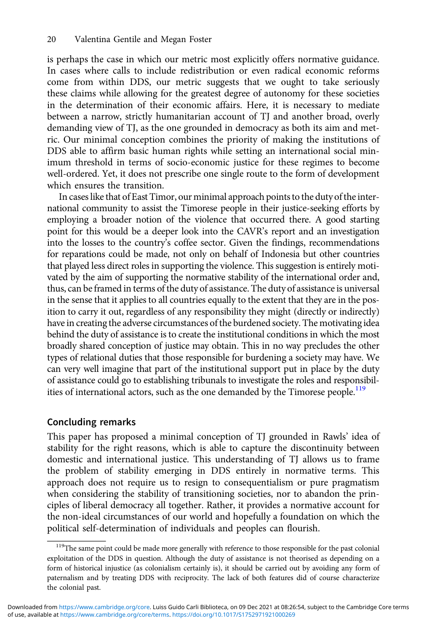is perhaps the case in which our metric most explicitly offers normative guidance. In cases where calls to include redistribution or even radical economic reforms come from within DDS, our metric suggests that we ought to take seriously these claims while allowing for the greatest degree of autonomy for these societies in the determination of their economic affairs. Here, it is necessary to mediate between a narrow, strictly humanitarian account of TJ and another broad, overly demanding view of TJ, as the one grounded in democracy as both its aim and metric. Our minimal conception combines the priority of making the institutions of DDS able to affirm basic human rights while setting an international social minimum threshold in terms of socio-economic justice for these regimes to become well-ordered. Yet, it does not prescribe one single route to the form of development which ensures the transition.

In cases like that of East Timor, our minimal approach points to the duty of the international community to assist the Timorese people in their justice-seeking efforts by employing a broader notion of the violence that occurred there. A good starting point for this would be a deeper look into the CAVR's report and an investigation into the losses to the country's coffee sector. Given the findings, recommendations for reparations could be made, not only on behalf of Indonesia but other countries that played less direct roles in supporting the violence. This suggestion is entirely motivated by the aim of supporting the normative stability of the international order and, thus, can be framed in terms of the duty of assistance. The duty of assistance is universal in the sense that it applies to all countries equally to the extent that they are in the position to carry it out, regardless of any responsibility they might (directly or indirectly) have in creating the adverse circumstances of the burdened society. The motivating idea behind the duty of assistance is to create the institutional conditions in which the most broadly shared conception of justice may obtain. This in no way precludes the other types of relational duties that those responsible for burdening a society may have. We can very well imagine that part of the institutional support put in place by the duty of assistance could go to establishing tribunals to investigate the roles and responsibilities of international actors, such as the one demanded by the Timorese people.<sup>119</sup>

## Concluding remarks

This paper has proposed a minimal conception of TJ grounded in Rawls' idea of stability for the right reasons, which is able to capture the discontinuity between domestic and international justice. This understanding of TJ allows us to frame the problem of stability emerging in DDS entirely in normative terms. This approach does not require us to resign to consequentialism or pure pragmatism when considering the stability of transitioning societies, nor to abandon the principles of liberal democracy all together. Rather, it provides a normative account for the non-ideal circumstances of our world and hopefully a foundation on which the political self-determination of individuals and peoples can flourish.

<sup>&</sup>lt;sup>119</sup>The same point could be made more generally with reference to those responsible for the past colonial exploitation of the DDS in question. Although the duty of assistance is not theorised as depending on a form of historical injustice (as colonialism certainly is), it should be carried out by avoiding any form of paternalism and by treating DDS with reciprocity. The lack of both features did of course characterize the colonial past.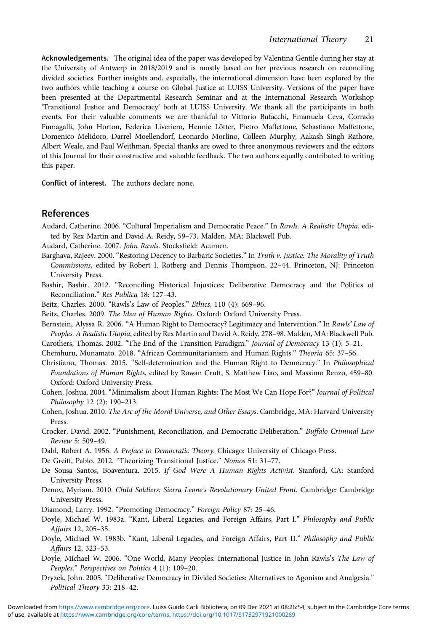<span id="page-20-0"></span>Acknowledgements. The original idea of the paper was developed by Valentina Gentile during her stay at the University of Antwerp in 2018/2019 and is mostly based on her previous research on reconciling divided societies. Further insights and, especially, the international dimension have been explored by the two authors while teaching a course on Global Justice at LUISS University. Versions of the paper have been presented at the Departmental Research Seminar and at the International Research Workshop 'Transitional Justice and Democracy' both at LUISS University. We thank all the participants in both events. For their valuable comments we are thankful to Vittorio Bufacchi, Emanuela Ceva, Corrado Fumagalli, John Horton, Federica Liveriero, Hennie Lötter, Pietro Maffettone, Sebastiano Maffettone, Domenico Melidoro, Darrel Moellendorf, Leonardo Morlino, Colleen Murphy, Aakash Singh Rathore, Albert Weale, and Paul Weithman. Special thanks are owed to three anonymous reviewers and the editors of this Journal for their constructive and valuable feedback. The two authors equally contributed to writing this paper.

Conflict of interest. The authors declare none.

## References

Audard, Catherine. 2006. "Cultural Imperialism and Democratic Peace." In Rawls. A Realistic Utopia, edited by Rex Martin and David A. Reidy, 59–73. Malden, MA: Blackwell Pub.

Audard, Catherine. 2007. John Rawls. Stocksfield: Acumen.

- Barghava, Rajeev. 2000. "Restoring Decency to Barbaric Societies." In Truth v. Justice: The Morality of Truth Commissions, edited by Robert I. Rotberg and Dennis Thompson, 22–44. Princeton, NJ: Princeton University Press.
- Bashir, Bashir. 2012. "Reconciling Historical Injustices: Deliberative Democracy and the Politics of Reconciliation." Res Publica 18: 127–43.

Beitz, Charles. 2000. "Rawls's Law of Peoples." Ethics, 110 (4): 669–96.

Beitz, Charles. 2009. The Idea of Human Rights. Oxford: Oxford University Press.

Bernstein, Alyssa R. 2006. "A Human Right to Democracy? Legitimacy and Intervention." In Rawls' Law of Peoples. A Realistic Utopia, edited by Rex Martin and David A. Reidy, 278–98. Malden, MA: Blackwell Pub.

Carothers, Thomas. 2002. "The End of the Transition Paradigm." Journal of Democracy 13 (1): 5–21.

Chemhuru, Munamato. 2018. "African Communitarianism and Human Rights." Theoria 65: 37–56.

- Christiano, Thomas. 2015. "Self-determination and the Human Right to Democracy." In Philosophical Foundations of Human Rights, edited by Rowan Cruft, S. Matthew Liao, and Massimo Renzo, 459–80. Oxford: Oxford University Press.
- Cohen, Joshua. 2004. "Minimalism about Human Rights: The Most We Can Hope For?" Journal of Political Philosophy 12 (2): 190–213.
- Cohen, Joshua. 2010. The Arc of the Moral Universe, and Other Essays. Cambridge, MA: Harvard University Press.
- Crocker, David. 2002. "Punishment, Reconciliation, and Democratic Deliberation." Buffalo Criminal Law Review 5: 509–49.

Dahl, Robert A. 1956. A Preface to Democratic Theory. Chicago: University of Chicago Press.

De Greiff, Pablo. 2012. "Theorizing Transitional Justice." Nomos 51: 31–77.

De Sousa Santos, Boaventura. 2015. If God Were A Human Rights Activist. Stanford, CA: Stanford University Press.

Denov, Myriam. 2010. Child Soldiers: Sierra Leone's Revolutionary United Front. Cambridge: Cambridge University Press.

Diamond, Larry. 1992. "Promoting Democracy." Foreign Policy 87: 25–46.

- Doyle, Michael W. 1983a. "Kant, Liberal Legacies, and Foreign Affairs, Part I." Philosophy and Public Affairs 12, 205–35.
- Doyle, Michael W. 1983b. "Kant, Liberal Legacies, and Foreign Affairs, Part II." Philosophy and Public Affairs 12, 323–53.
- Doyle, Michael W. 2006. "One World, Many Peoples: International Justice in John Rawls's The Law of Peoples." Perspectives on Politics 4 (1): 109–20.
- Dryzek, John. 2005. "Deliberative Democracy in Divided Societies: Alternatives to Agonism and Analgesia." Political Theory 33: 218–42.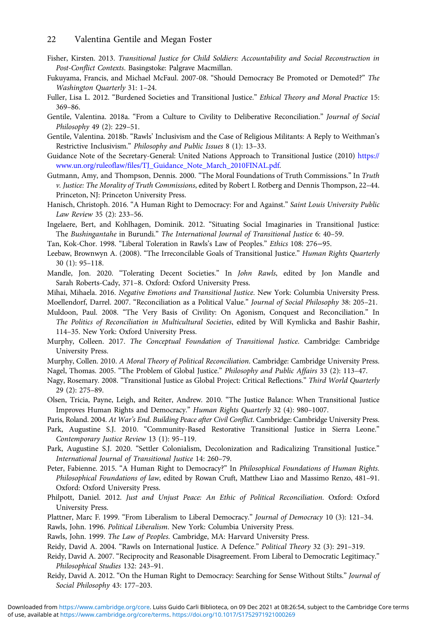- <span id="page-21-0"></span>Fisher, Kirsten. 2013. Transitional Justice for Child Soldiers: Accountability and Social Reconstruction in Post-Conflict Contexts. Basingstoke: Palgrave Macmillan.
- Fukuyama, Francis, and Michael McFaul. 2007-08. "Should Democracy Be Promoted or Demoted?" The Washington Quarterly 31: 1–24.
- Fuller, Lisa L. 2012. "Burdened Societies and Transitional Justice." Ethical Theory and Moral Practice 15: 369–86.
- Gentile, Valentina. 2018a. "From a Culture to Civility to Deliberative Reconciliation." Journal of Social Philosophy 49 (2): 229–51.
- Gentile, Valentina. 2018b. "Rawls' Inclusivism and the Case of Religious Militants: A Reply to Weithman's Restrictive Inclusivism." Philosophy and Public Issues 8 (1): 13–33.
- Guidance Note of the Secretary-General: United Nations Approach to Transitional Justice (2010) [https://](https://www.un.org/ruleoflaw/files/TJ_Guidance_Note_March_2010FINAL.pdf) [www.un.org/ruleoflaw/files/TJ\\_Guidance\\_Note\\_March\\_2010FINAL.pdf.](https://www.un.org/ruleoflaw/files/TJ_Guidance_Note_March_2010FINAL.pdf)
- Gutmann, Amy, and Thompson, Dennis. 2000. "The Moral Foundations of Truth Commissions." In Truth v. Justice: The Morality of Truth Commissions, edited by Robert I. Rotberg and Dennis Thompson, 22–44. Princeton, NJ: Princeton University Press.
- Hanisch, Christoph. 2016. "A Human Right to Democracy: For and Against." Saint Louis University Public Law Review 35 (2): 233–56.
- Ingelaere, Bert, and Kohlhagen, Dominik. 2012. "Situating Social Imaginaries in Transitional Justice: The Bushingantahe in Burundi." The International Journal of Transitional Justice 6: 40–59.
- Tan, Kok-Chor. 1998. "Liberal Toleration in Rawls's Law of Peoples." Ethics 108: 276−95.
- Leebaw, Brownwyn A. (2008). "The Irreconcilable Goals of Transitional Justice." Human Rights Quarterly 30 (1): 95–118.
- Mandle, Jon. 2020. "Tolerating Decent Societies." In John Rawls, edited by Jon Mandle and Sarah Roberts-Cady, 371–8. Oxford: Oxford University Press.
- Mihai, Mihaela. 2016. Negative Emotions and Transitional Justice. New York: Columbia University Press.
- Moellendorf, Darrel. 2007. "Reconciliation as a Political Value." Journal of Social Philosophy 38: 205–21.
- Muldoon, Paul. 2008. "The Very Basis of Civility: On Agonism, Conquest and Reconciliation." In The Politics of Reconciliation in Multicultural Societies, edited by Will Kymlicka and Bashir Bashir, 114–35. New York: Oxford University Press.
- Murphy, Colleen. 2017. The Conceptual Foundation of Transitional Justice. Cambridge: Cambridge University Press.
- Murphy, Collen. 2010. A Moral Theory of Political Reconciliation. Cambridge: Cambridge University Press.
- Nagel, Thomas. 2005. "The Problem of Global Justice." Philosophy and Public Affairs 33 (2): 113–47.
- Nagy, Rosemary. 2008. "Transitional Justice as Global Project: Critical Reflections." Third World Quarterly 29 (2): 275–89.
- Olsen, Tricia, Payne, Leigh, and Reiter, Andrew. 2010. "The Justice Balance: When Transitional Justice Improves Human Rights and Democracy." Human Rights Quarterly 32 (4): 980–1007.
- Paris, Roland. 2004. At War's End. Building Peace after Civil Conflict. Cambridge: Cambridge University Press.
- Park, Augustine S.J. 2010. "Community-Based Restorative Transitional Justice in Sierra Leone." Contemporary Justice Review 13 (1): 95–119.
- Park, Augustine S.J. 2020. "Settler Colonialism, Decolonization and Radicalizing Transitional Justice." International Journal of Transitional Justice 14: 260–79.
- Peter, Fabienne. 2015. "A Human Right to Democracy?" In Philosophical Foundations of Human Rights. Philosophical Foundations of law, edited by Rowan Cruft, Matthew Liao and Massimo Renzo, 481–91. Oxford: Oxford University Press.
- Philpott, Daniel. 2012. Just and Unjust Peace: An Ethic of Political Reconciliation. Oxford: Oxford University Press.
- Plattner, Marc F. 1999. "From Liberalism to Liberal Democracy." Journal of Democracy 10 (3): 121-34.

Rawls, John. 1996. Political Liberalism. New York: Columbia University Press.

- Rawls, John. 1999. The Law of Peoples. Cambridge, MA: Harvard University Press.
- Reidy, David A. 2004. "Rawls on International Justice. A Defence." Political Theory 32 (3): 291–319.
- Reidy, David A. 2007. "Reciprocity and Reasonable Disagreement. From Liberal to Democratic Legitimacy." Philosophical Studies 132: 243–91.
- Reidy, David A. 2012. "On the Human Right to Democracy: Searching for Sense Without Stilts." Journal of Social Philosophy 43: 177–203.